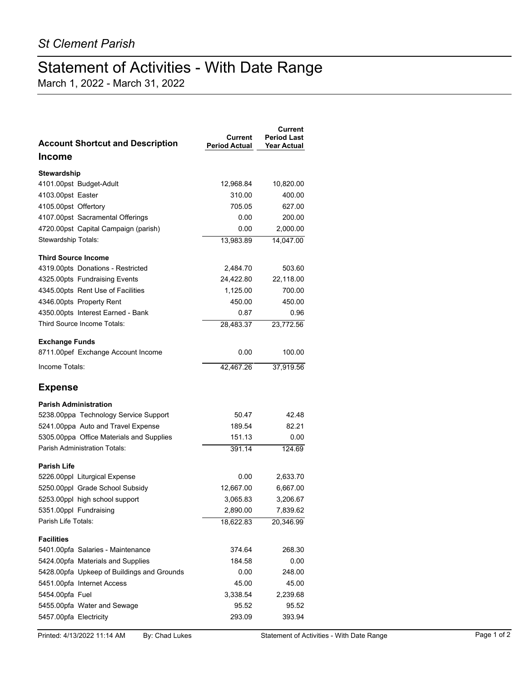## Statement of Activities - With Date Range

March 1, 2022 - March 31, 2022

| <b>Account Shortcut and Description</b>    | Current<br>Period Actual | Current<br><b>Period Last</b><br><b>Year Actual</b> |
|--------------------------------------------|--------------------------|-----------------------------------------------------|
| <b>Income</b>                              |                          |                                                     |
| Stewardship                                |                          |                                                     |
| 4101.00pst Budget-Adult                    | 12,968.84                | 10,820.00                                           |
| 4103.00pst Easter                          | 310.00                   | 400.00                                              |
| 4105.00pst Offertory                       | 705.05                   | 627.00                                              |
| 4107.00pst Sacramental Offerings           | 0.00                     | 200.00                                              |
| 4720.00pst Capital Campaign (parish)       | 0.00                     | 2,000.00                                            |
| Stewardship Totals:                        | 13,983.89                | 14,047.00                                           |
| <b>Third Source Income</b>                 |                          |                                                     |
| 4319.00pts Donations - Restricted          | 2,484.70                 | 503.60                                              |
| 4325.00pts Fundraising Events              | 24,422.80                | 22,118.00                                           |
| 4345.00pts Rent Use of Facilities          | 1,125.00                 | 700.00                                              |
| 4346.00pts Property Rent                   | 450.00                   | 450.00                                              |
| 4350.00pts Interest Earned - Bank          | 0.87                     | 0.96                                                |
| Third Source Income Totals:                | 28,483.37                | 23,772.56                                           |
| <b>Exchange Funds</b>                      |                          |                                                     |
| 8711.00pef Exchange Account Income         | 0.00                     | 100.00                                              |
| Income Totals:                             | 42,467.26                | 37,919.56                                           |
| <b>Expense</b>                             |                          |                                                     |
| <b>Parish Administration</b>               |                          |                                                     |
| 5238.00ppa Technology Service Support      | 50.47                    | 42.48                                               |
| 5241.00ppa Auto and Travel Expense         | 189.54                   | 82.21                                               |
| 5305.00ppa Office Materials and Supplies   | 151.13                   | 0.00                                                |
| <b>Parish Administration Totals:</b>       | 391.14                   | 124.69                                              |
| <b>Parish Life</b>                         |                          |                                                     |
| 5226.00ppl Liturgical Expense              | 0.00                     | 2,633.70                                            |
| 5250.00ppl Grade School Subsidy            | 12,667.00                | 6,667.00                                            |
| 5253.00ppl high school support             | 3,065.83                 | 3,206.67                                            |
| 5351.00ppl Fundraising                     | 2,890.00                 | 7,839.62                                            |
| Parish Life Totals:                        | 18,622.83                | 20,346.99                                           |
| <b>Facilities</b>                          |                          |                                                     |
| 5401.00pfa Salaries - Maintenance          | 374.64                   | 268.30                                              |
| 5424.00pfa Materials and Supplies          | 184.58                   | 0.00                                                |
| 5428.00pfa Upkeep of Buildings and Grounds | 0.00                     | 248.00                                              |
| 5451.00pfa Internet Access                 | 45.00                    | 45.00                                               |
| 5454.00pfa Fuel                            | 3,338.54                 | 2,239.68                                            |
| 5455.00pfa Water and Sewage                | 95.52                    | 95.52                                               |
| 5457.00pfa Electricity                     | 293.09                   | 393.94                                              |